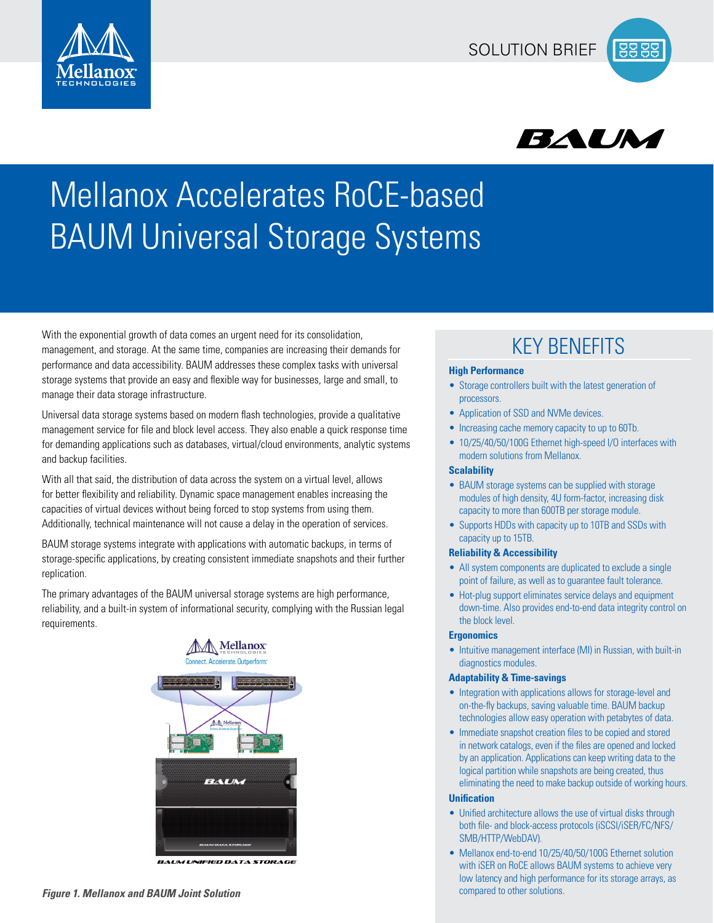



# Mellanox Accelerates RoCE-based BAUM Universal Storage Systems

With the exponential growth of data comes an urgent need for its consolidation,  $\mathsf{K}$  is an anagement, and storage. At the same time, companies are increasing their demands for  $\mathsf{K}$  is an anagement, and storage. At performance and data accessibility. BAUM addresses these complex tasks with universal storage systems that provide an easy and flexible way for businesses, large and small, to manage their data storage infrastructure.

Universal data storage systems based on modern flash technologies, provide a qualitative management service for file and block level access. They also enable a quick response time for demanding applications such as databases, virtual/cloud environments, analytic systems and backup facilities.

With all that said, the distribution of data across the system on a virtual level, allows for better flexibility and reliability. Dynamic space management enables increasing the capacities of virtual devices without being forced to stop systems from using them. Additionally, technical maintenance will not cause a delay in the operation of services.

BAUM storage systems integrate with applications with automatic backups, in terms of storage-specific applications, by creating consistent immediate snapshots and their further replication.

The primary advantages of the BAUM universal storage systems are high performance, reliability, and a built-in system of informational security, complying with the Russian legal requirements.



**BAUM UNIFIED DATA STORAGE** 

### **High Performance**

- Storage controllers built with the latest generation of processors.
- Application of SSD and NVMe devices.
- Increasing cache memory capacity to up to 60Tb.
- 10/25/40/50/100G Ethernet high-speed I/O interfaces with modern solutions from Mellanox.

### **Scalability**

- BAUM storage systems can be supplied with storage modules of high density, 4U form-factor, increasing disk capacity to more than 600TB per storage module.
- Supports HDDs with capacity up to 10TB and SSDs with capacity up to 15TB.

#### **Reliability & Accessibility**

- All system components are duplicated to exclude a single point of failure, as well as to guarantee fault tolerance.
- Hot-plug support eliminates service delays and equipment down-time. Also provides end-to-end data integrity control on the block level.

#### **Ergonomics**

• Intuitive management interface (MI) in Russian, with built-in diagnostics modules.

#### **Adaptability & Time-savings**

- Integration with applications allows for storage-level and on-the-fly backups, saving valuable time. BAUM backup technologies allow easy operation with petabytes of data.
- Immediate snapshot creation files to be copied and stored in network catalogs, even if the files are opened and locked by an application. Applications can keep writing data to the logical partition while snapshots are being created, thus eliminating the need to make backup outside of working hours.

#### **Unification**

- Unified architecture allows the use of virtual disks through both file- and block-access protocols (iSCSI/iSER/FC/NFS/ SMB/HTTP/WebDAV).
- Mellanox end-to-end 10/25/40/50/100G Ethernet solution with iSER on RoCE allows BAUM systems to achieve very low latency and high performance for its storage arrays, as